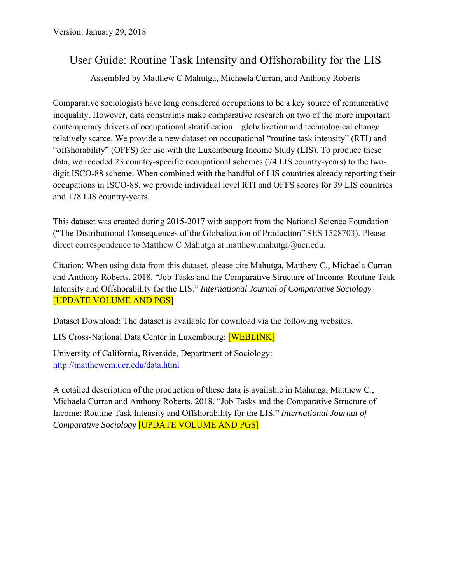# User Guide: Routine Task Intensity and Offshorability for the LIS

Assembled by Matthew C Mahutga, Michaela Curran, and Anthony Roberts

Comparative sociologists have long considered occupations to be a key source of remunerative inequality. However, data constraints make comparative research on two of the more important contemporary drivers of occupational stratification—globalization and technological change relatively scarce. We provide a new dataset on occupational "routine task intensity" (RTI) and "offshorability" (OFFS) for use with the Luxembourg Income Study (LIS). To produce these data, we recoded 23 country-specific occupational schemes (74 LIS country-years) to the twodigit ISCO-88 scheme. When combined with the handful of LIS countries already reporting their occupations in ISCO-88, we provide individual level RTI and OFFS scores for 39 LIS countries and 178 LIS country-years.

This dataset was created during 2015-2017 with support from the National Science Foundation ("The Distributional Consequences of the Globalization of Production" SES 1528703). Please direct correspondence to Matthew C Mahutga at matthew.mahutga@ucr.edu.

Citation: When using data from this dataset, please cite Mahutga, Matthew C., Michaela Curran and Anthony Roberts. 2018. "Job Tasks and the Comparative Structure of Income: Routine Task Intensity and Offshorability for the LIS." *International Journal of Comparative Sociology* [UPDATE VOLUME AND PGS]

Dataset Download: The dataset is available for download via the following websites.

LIS Cross-National Data Center in Luxembourg: [WEBLINK]

University of California, Riverside, Department of Sociology: http://matthewcm.ucr.edu/data.html

A detailed description of the production of these data is available in Mahutga, Matthew C., Michaela Curran and Anthony Roberts. 2018. "Job Tasks and the Comparative Structure of Income: Routine Task Intensity and Offshorability for the LIS." *International Journal of Comparative Sociology* [UPDATE VOLUME AND PGS]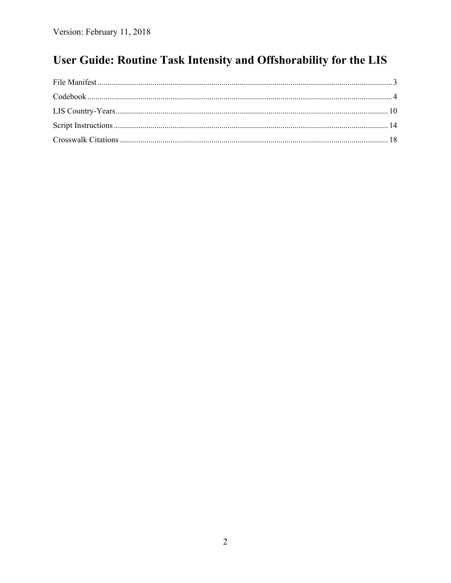# User Guide: Routine Task Intensity and Offshorability for the LIS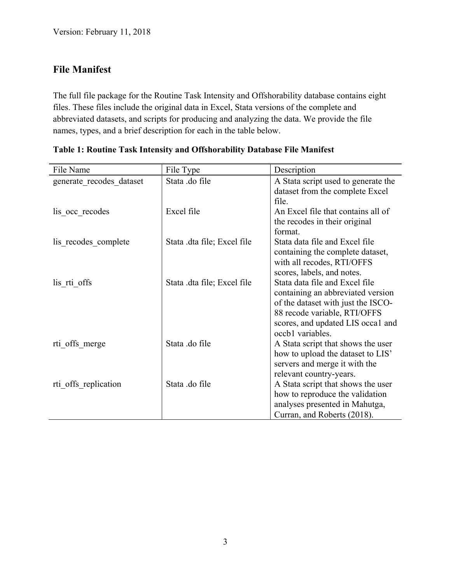### **File Manifest**

The full file package for the Routine Task Intensity and Offshorability database contains eight files. These files include the original data in Excel, Stata versions of the complete and abbreviated datasets, and scripts for producing and analyzing the data. We provide the file names, types, and a brief description for each in the table below.

| File Name                | File Type                   | Description                         |
|--------------------------|-----------------------------|-------------------------------------|
| generate_recodes_dataset | Stata .do file              | A Stata script used to generate the |
|                          |                             | dataset from the complete Excel     |
|                          |                             | file.                               |
| lis occ recodes          | Excel file                  | An Excel file that contains all of  |
|                          |                             | the recodes in their original       |
|                          |                             | format.                             |
| lis recodes complete     | Stata .dta file; Excel file | Stata data file and Excel file      |
|                          |                             | containing the complete dataset,    |
|                          |                             | with all recodes, RTI/OFFS          |
|                          |                             | scores, labels, and notes.          |
| lis rti offs             | Stata .dta file; Excel file | Stata data file and Excel file      |
|                          |                             | containing an abbreviated version   |
|                          |                             | of the dataset with just the ISCO-  |
|                          |                             | 88 recode variable, RTI/OFFS        |
|                          |                             | scores, and updated LIS occal and   |
|                          |                             | occb1 variables.                    |
| rti offs merge           | Stata .do file              | A Stata script that shows the user  |
|                          |                             | how to upload the dataset to LIS'   |
|                          |                             | servers and merge it with the       |
|                          |                             | relevant country-years.             |
| rti offs replication     | Stata .do file              | A Stata script that shows the user  |
|                          |                             | how to reproduce the validation     |
|                          |                             | analyses presented in Mahutga,      |
|                          |                             | Curran, and Roberts (2018).         |

**Table 1: Routine Task Intensity and Offshorability Database File Manifest**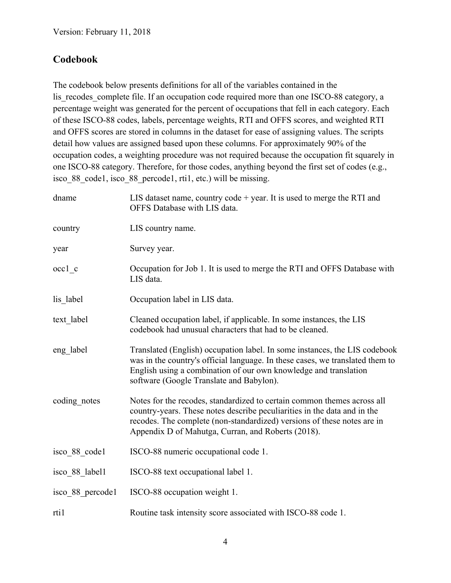## **Codebook**

The codebook below presents definitions for all of the variables contained in the lis recodes complete file. If an occupation code required more than one ISCO-88 category, a percentage weight was generated for the percent of occupations that fell in each category. Each of these ISCO-88 codes, labels, percentage weights, RTI and OFFS scores, and weighted RTI and OFFS scores are stored in columns in the dataset for ease of assigning values. The scripts detail how values are assigned based upon these columns. For approximately 90% of the occupation codes, a weighting procedure was not required because the occupation fit squarely in one ISCO-88 category. Therefore, for those codes, anything beyond the first set of codes (e.g., isco 88 code1, isco 88 percode1, rti1, etc.) will be missing.

| dname            | LIS dataset name, country code $+$ year. It is used to merge the RTI and<br>OFFS Database with LIS data.                                                                                                                                                                             |
|------------------|--------------------------------------------------------------------------------------------------------------------------------------------------------------------------------------------------------------------------------------------------------------------------------------|
| country          | LIS country name.                                                                                                                                                                                                                                                                    |
| year             | Survey year.                                                                                                                                                                                                                                                                         |
| $occ1$ c         | Occupation for Job 1. It is used to merge the RTI and OFFS Database with<br>LIS data.                                                                                                                                                                                                |
| lis label        | Occupation label in LIS data.                                                                                                                                                                                                                                                        |
| text label       | Cleaned occupation label, if applicable. In some instances, the LIS<br>codebook had unusual characters that had to be cleaned.                                                                                                                                                       |
| eng label        | Translated (English) occupation label. In some instances, the LIS codebook<br>was in the country's official language. In these cases, we translated them to<br>English using a combination of our own knowledge and translation<br>software (Google Translate and Babylon).          |
| coding notes     | Notes for the recodes, standardized to certain common themes across all<br>country-years. These notes describe peculiarities in the data and in the<br>recodes. The complete (non-standardized) versions of these notes are in<br>Appendix D of Mahutga, Curran, and Roberts (2018). |
| isco 88 code1    | ISCO-88 numeric occupational code 1.                                                                                                                                                                                                                                                 |
| isco 88 label1   | ISCO-88 text occupational label 1.                                                                                                                                                                                                                                                   |
| isco 88 percode1 | ISCO-88 occupation weight 1.                                                                                                                                                                                                                                                         |
| rti1             | Routine task intensity score associated with ISCO-88 code 1.                                                                                                                                                                                                                         |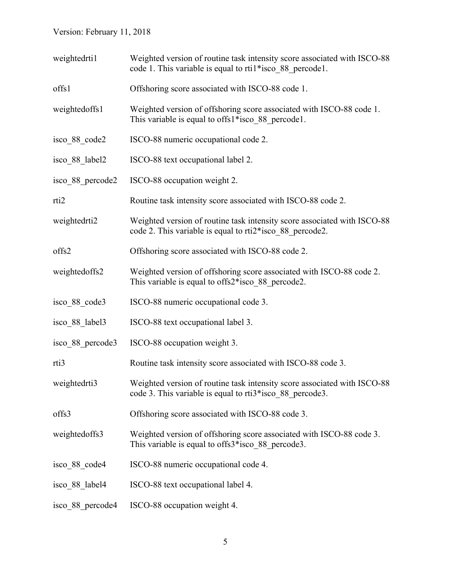| weightedrti1     | Weighted version of routine task intensity score associated with ISCO-88<br>code 1. This variable is equal to rtil*isco 88 percode1. |
|------------------|--------------------------------------------------------------------------------------------------------------------------------------|
| offs1            | Offshoring score associated with ISCO-88 code 1.                                                                                     |
| weightedoffs1    | Weighted version of offshoring score associated with ISCO-88 code 1.<br>This variable is equal to offs1*isco 88 percode1.            |
| isco 88 code2    | ISCO-88 numeric occupational code 2.                                                                                                 |
| isco 88 label2   | ISCO-88 text occupational label 2.                                                                                                   |
| isco 88 percode2 | ISCO-88 occupation weight 2.                                                                                                         |
| rti <sub>2</sub> | Routine task intensity score associated with ISCO-88 code 2.                                                                         |
| weightedrti2     | Weighted version of routine task intensity score associated with ISCO-88<br>code 2. This variable is equal to rti2*isco 88 percode2. |
| offs2            | Offshoring score associated with ISCO-88 code 2.                                                                                     |
| weightedoffs2    | Weighted version of offshoring score associated with ISCO-88 code 2.<br>This variable is equal to offs2*isco 88 percode2.            |
| isco 88 code3    | ISCO-88 numeric occupational code 3.                                                                                                 |
| isco 88 label3   | ISCO-88 text occupational label 3.                                                                                                   |
| isco 88 percode3 | ISCO-88 occupation weight 3.                                                                                                         |
| rti3             | Routine task intensity score associated with ISCO-88 code 3.                                                                         |
| weightedrti3     | Weighted version of routine task intensity score associated with ISCO-88<br>code 3. This variable is equal to rti3*isco 88 percode3. |
| offs3            | Offshoring score associated with ISCO-88 code 3.                                                                                     |
| weightedoffs3    | Weighted version of offshoring score associated with ISCO-88 code 3.<br>This variable is equal to offs3*isco 88 percode3.            |
| isco 88 code4    | ISCO-88 numeric occupational code 4.                                                                                                 |
| isco 88 label4   | ISCO-88 text occupational label 4.                                                                                                   |
| isco 88 percode4 | ISCO-88 occupation weight 4.                                                                                                         |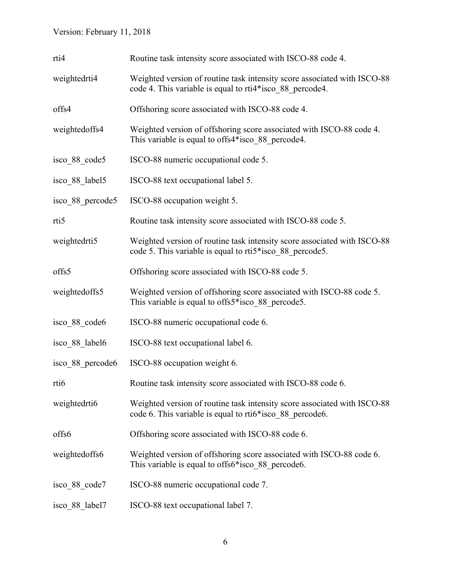| rti4             | Routine task intensity score associated with ISCO-88 code 4.                                                                         |
|------------------|--------------------------------------------------------------------------------------------------------------------------------------|
| weightedrti4     | Weighted version of routine task intensity score associated with ISCO-88<br>code 4. This variable is equal to rti4*isco 88 percode4. |
| offs4            | Offshoring score associated with ISCO-88 code 4.                                                                                     |
| weightedoffs4    | Weighted version of offshoring score associated with ISCO-88 code 4.<br>This variable is equal to offs4*isco_88_percode4.            |
| isco 88 code5    | ISCO-88 numeric occupational code 5.                                                                                                 |
| isco 88 label5   | ISCO-88 text occupational label 5.                                                                                                   |
| isco 88 percode5 | ISCO-88 occupation weight 5.                                                                                                         |
| rti <sub>5</sub> | Routine task intensity score associated with ISCO-88 code 5.                                                                         |
| weightedrti5     | Weighted version of routine task intensity score associated with ISCO-88<br>code 5. This variable is equal to rti5*isco 88 percode5. |
| offs5            | Offshoring score associated with ISCO-88 code 5.                                                                                     |
| weightedoffs5    | Weighted version of offshoring score associated with ISCO-88 code 5.<br>This variable is equal to offs5*isco 88 percode5.            |
| isco 88 code6    | ISCO-88 numeric occupational code 6.                                                                                                 |
| isco 88 label6   | ISCO-88 text occupational label 6.                                                                                                   |
| isco 88 percode6 | ISCO-88 occupation weight 6.                                                                                                         |
| rti6             | Routine task intensity score associated with ISCO-88 code 6.                                                                         |
| weightedrti6     | Weighted version of routine task intensity score associated with ISCO-88<br>code 6. This variable is equal to rti6*isco 88 percode6. |
| offs6            | Offshoring score associated with ISCO-88 code 6.                                                                                     |
| weightedoffs6    | Weighted version of offshoring score associated with ISCO-88 code 6.<br>This variable is equal to offs6*isco 88 percode6.            |
| isco_88 code7    | ISCO-88 numeric occupational code 7.                                                                                                 |
| isco 88 label7   | ISCO-88 text occupational label 7.                                                                                                   |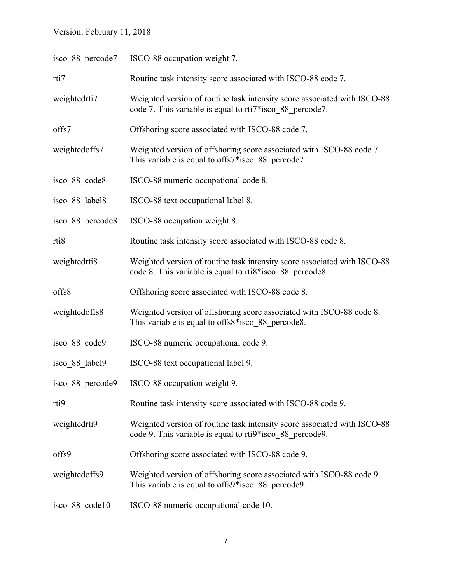| isco 88 percode7 | ISCO-88 occupation weight 7.                                                                                                         |
|------------------|--------------------------------------------------------------------------------------------------------------------------------------|
| rti7             | Routine task intensity score associated with ISCO-88 code 7.                                                                         |
| weightedrti7     | Weighted version of routine task intensity score associated with ISCO-88<br>code 7. This variable is equal to rti7*isco 88 percode7. |
| offs7            | Offshoring score associated with ISCO-88 code 7.                                                                                     |
| weightedoffs7    | Weighted version of offshoring score associated with ISCO-88 code 7.<br>This variable is equal to offs7*isco 88 percode7.            |
| isco 88 code8    | ISCO-88 numeric occupational code 8.                                                                                                 |
| isco 88 label8   | ISCO-88 text occupational label 8.                                                                                                   |
| isco 88 percode8 | ISCO-88 occupation weight 8.                                                                                                         |
| rti <sub>8</sub> | Routine task intensity score associated with ISCO-88 code 8.                                                                         |
| weightedrti8     | Weighted version of routine task intensity score associated with ISCO-88<br>code 8. This variable is equal to rti8*isco 88 percode8. |
| offs8            | Offshoring score associated with ISCO-88 code 8.                                                                                     |
| weightedoffs8    | Weighted version of offshoring score associated with ISCO-88 code 8.<br>This variable is equal to offs8*isco 88 percode8.            |
| isco 88 code9    | ISCO-88 numeric occupational code 9.                                                                                                 |
| isco 88 label9   | ISCO-88 text occupational label 9.                                                                                                   |
|                  | isco 88 percode9 ISCO-88 occupation weight 9.                                                                                        |
| rti9             | Routine task intensity score associated with ISCO-88 code 9.                                                                         |
| weightedrti9     | Weighted version of routine task intensity score associated with ISCO-88<br>code 9. This variable is equal to rti9*isco_88_percode9. |
| offs9            | Offshoring score associated with ISCO-88 code 9.                                                                                     |
| weightedoffs9    | Weighted version of offshoring score associated with ISCO-88 code 9.<br>This variable is equal to offs9*isco 88 percode9.            |
| isco 88 code10   | ISCO-88 numeric occupational code 10.                                                                                                |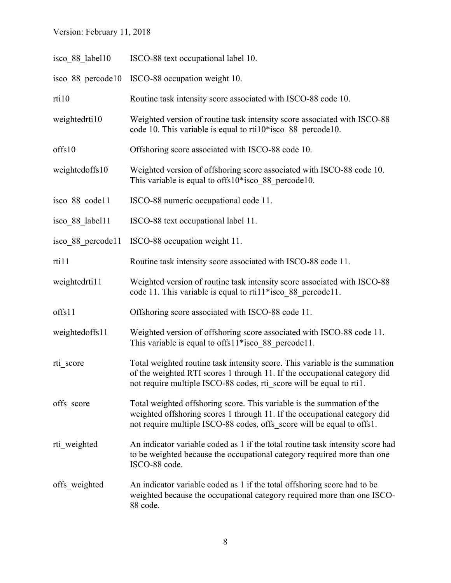| isco 88 label10   | ISCO-88 text occupational label 10.                                                                                                                                                                                              |
|-------------------|----------------------------------------------------------------------------------------------------------------------------------------------------------------------------------------------------------------------------------|
| isco 88 percode10 | ISCO-88 occupation weight 10.                                                                                                                                                                                                    |
| rti10             | Routine task intensity score associated with ISCO-88 code 10.                                                                                                                                                                    |
| weightedrti10     | Weighted version of routine task intensity score associated with ISCO-88<br>code 10. This variable is equal to $rti10*$ isco 88 percode 10.                                                                                      |
| offs10            | Offshoring score associated with ISCO-88 code 10.                                                                                                                                                                                |
| weightedoffs10    | Weighted version of offshoring score associated with ISCO-88 code 10.<br>This variable is equal to offs $10*$ isco 88 percode 10.                                                                                                |
| isco 88 code11    | ISCO-88 numeric occupational code 11.                                                                                                                                                                                            |
| isco 88 label11   | ISCO-88 text occupational label 11.                                                                                                                                                                                              |
| isco 88 percode11 | ISCO-88 occupation weight 11.                                                                                                                                                                                                    |
| rti11             | Routine task intensity score associated with ISCO-88 code 11.                                                                                                                                                                    |
| weightedrti11     | Weighted version of routine task intensity score associated with ISCO-88<br>code 11. This variable is equal to rtil 1*isco 88 percode 11.                                                                                        |
| offs11            | Offshoring score associated with ISCO-88 code 11.                                                                                                                                                                                |
| weightedoffs11    | Weighted version of offshoring score associated with ISCO-88 code 11.<br>This variable is equal to offs $11*$ isco 88 percode 11.                                                                                                |
| rti score         | Total weighted routine task intensity score. This variable is the summation<br>of the weighted RTI scores 1 through 11. If the occupational category did<br>not require multiple ISCO-88 codes, rti score will be equal to rtil. |
| offs score        | Total weighted offshoring score. This variable is the summation of the<br>weighted offshoring scores 1 through 11. If the occupational category did<br>not require multiple ISCO-88 codes, offs score will be equal to offs1.    |
| rti weighted      | An indicator variable coded as 1 if the total routine task intensity score had<br>to be weighted because the occupational category required more than one<br>ISCO-88 code.                                                       |
| offs weighted     | An indicator variable coded as 1 if the total offshoring score had to be<br>weighted because the occupational category required more than one ISCO-<br>88 code.                                                                  |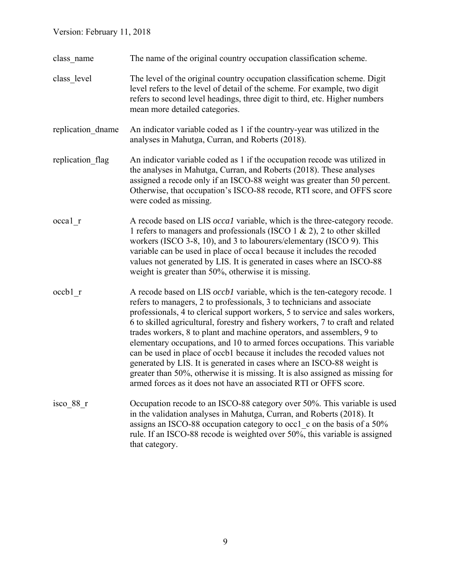- class\_name The name of the original country occupation classification scheme.
- class\_level The level of the original country occupation classification scheme. Digit level refers to the level of detail of the scheme. For example, two digit refers to second level headings, three digit to third, etc. Higher numbers mean more detailed categories.
- replication dname An indicator variable coded as 1 if the country-year was utilized in the analyses in Mahutga, Curran, and Roberts (2018).
- replication flag An indicator variable coded as 1 if the occupation recode was utilized in the analyses in Mahutga, Curran, and Roberts (2018). These analyses assigned a recode only if an ISCO-88 weight was greater than 50 percent. Otherwise, that occupation's ISCO-88 recode, RTI score, and OFFS score were coded as missing.
- occa1 r A recode based on LIS *occa1* variable, which is the three-category recode. 1 refers to managers and professionals (ISCO 1 & 2), 2 to other skilled workers (ISCO 3-8, 10), and 3 to labourers/elementary (ISCO 9). This variable can be used in place of occa1 because it includes the recoded values not generated by LIS. It is generated in cases where an ISCO-88 weight is greater than 50%, otherwise it is missing.
- occb1 r A recode based on LIS *occb1* variable, which is the ten-category recode. 1 refers to managers, 2 to professionals, 3 to technicians and associate professionals, 4 to clerical support workers, 5 to service and sales workers, 6 to skilled agricultural, forestry and fishery workers, 7 to craft and related trades workers, 8 to plant and machine operators, and assemblers, 9 to elementary occupations, and 10 to armed forces occupations. This variable can be used in place of occb1 because it includes the recoded values not generated by LIS. It is generated in cases where an ISCO-88 weight is greater than 50%, otherwise it is missing. It is also assigned as missing for armed forces as it does not have an associated RTI or OFFS score.
- isco\_88\_r Occupation recode to an ISCO-88 category over 50%. This variable is used in the validation analyses in Mahutga, Curran, and Roberts (2018). It assigns an ISCO-88 occupation category to occ1 c on the basis of a 50% rule. If an ISCO-88 recode is weighted over 50%, this variable is assigned that category.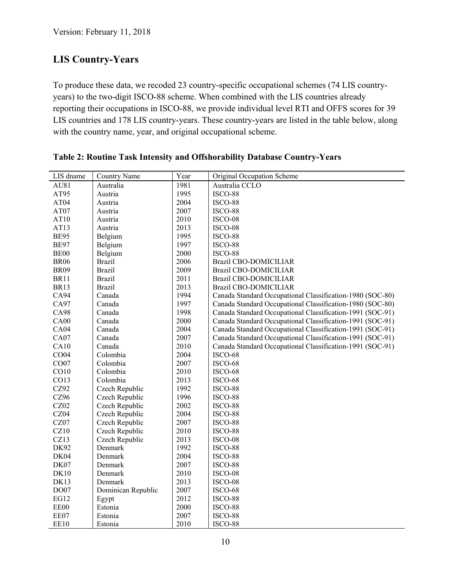## **LIS Country-Years**

To produce these data, we recoded 23 country-specific occupational schemes (74 LIS countryyears) to the two-digit ISCO-88 scheme. When combined with the LIS countries already reporting their occupations in ISCO-88, we provide individual level RTI and OFFS scores for 39 LIS countries and 178 LIS country-years. These country-years are listed in the table below, along with the country name, year, and original occupational scheme.

| LIS dname        | <b>Country Name</b> | Year | Original Occupation Scheme                                |
|------------------|---------------------|------|-----------------------------------------------------------|
| AU81             | Australia           | 1981 | Australia CCLO                                            |
| AT95             | Austria             | 1995 | ISCO-88                                                   |
| AT04             | Austria             | 2004 | ISCO-88                                                   |
| AT07             | Austria             | 2007 | ISCO-88                                                   |
| AT10             | Austria             | 2010 | ISCO-08                                                   |
| AT13             | Austria             | 2013 | ISCO-08                                                   |
| <b>BE95</b>      | Belgium             | 1995 | ISCO-88                                                   |
| <b>BE97</b>      | Belgium             | 1997 | ISCO-88                                                   |
| BE <sub>00</sub> | Belgium             | 2000 | ISCO-88                                                   |
| <b>BR06</b>      | <b>Brazil</b>       | 2006 | <b>Brazil CBO-DOMICILIAR</b>                              |
| <b>BR09</b>      | <b>Brazil</b>       | 2009 | <b>Brazil CBO-DOMICILIAR</b>                              |
| <b>BR11</b>      | <b>Brazil</b>       | 2011 | <b>Brazil CBO-DOMICILIAR</b>                              |
| <b>BR13</b>      | <b>Brazil</b>       | 2013 | <b>Brazil CBO-DOMICILIAR</b>                              |
| CA94             | Canada              | 1994 | Canada Standard Occupational Classification-1980 (SOC-80) |
| CA97             | Canada              | 1997 | Canada Standard Occupational Classification-1980 (SOC-80) |
| <b>CA98</b>      | Canada              | 1998 | Canada Standard Occupational Classification-1991 (SOC-91) |
| CA00             | Canada              | 2000 | Canada Standard Occupational Classification-1991 (SOC-91) |
| CA <sub>04</sub> | Canada              | 2004 | Canada Standard Occupational Classification-1991 (SOC-91) |
| CA07             | Canada              | 2007 | Canada Standard Occupational Classification-1991 (SOC-91) |
| CA10             | Canada              | 2010 | Canada Standard Occupational Classification-1991 (SOC-91) |
| CO04             | Colombia            | 2004 | ISCO-68                                                   |
| CO07             | Colombia            | 2007 | ISCO-68                                                   |
| CO10             | Colombia            | 2010 | ISCO-68                                                   |
| CO13             | Colombia            | 2013 | ISCO-68                                                   |
| CZ92             | Czech Republic      | 1992 | ISCO-88                                                   |
| CZ96             | Czech Republic      | 1996 | ISCO-88                                                   |
| CZ02             | Czech Republic      | 2002 | ISCO-88                                                   |
| CZ04             | Czech Republic      | 2004 | ISCO-88                                                   |
| CZ07             | Czech Republic      | 2007 | ISCO-88                                                   |
| CZ10             | Czech Republic      | 2010 | ISCO-88                                                   |
| CZ13             | Czech Republic      | 2013 | ISCO-08                                                   |
| <b>DK92</b>      | Denmark             | 1992 | ISCO-88                                                   |
| DK04             | Denmark             | 2004 | ISCO-88                                                   |
| DK07             | Denmark             | 2007 | ISCO-88                                                   |
| <b>DK10</b>      | Denmark             | 2010 | ISCO-08                                                   |
| DK13             | Denmark             | 2013 | ISCO-08                                                   |
| DO07             | Dominican Republic  | 2007 | ISCO-68                                                   |
| <b>EG12</b>      | Egypt               | 2012 | ISCO-88                                                   |
| EE00             | Estonia             | 2000 | ISCO-88                                                   |
| EE07             | Estonia             | 2007 | ISCO-88                                                   |
| EE10             | Estonia             | 2010 | ISCO-88                                                   |

**Table 2: Routine Task Intensity and Offshorability Database Country-Years**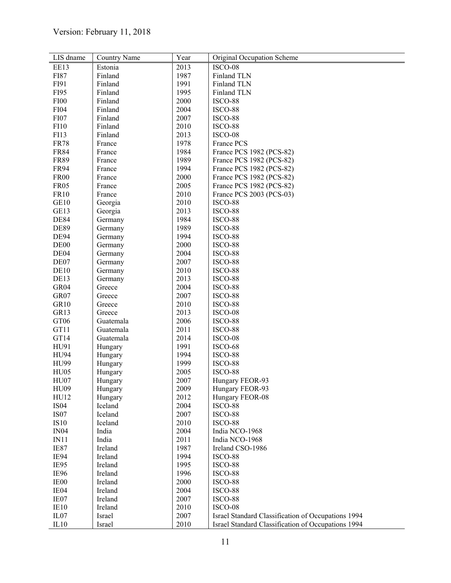| LIS dname        | <b>Country Name</b> | Year | Original Occupation Scheme                         |
|------------------|---------------------|------|----------------------------------------------------|
| EE13             | Estonia             | 2013 | ISCO-08                                            |
| FI87             | Finland             | 1987 | Finland TLN                                        |
| FI91             | Finland             | 1991 | Finland TLN                                        |
| FI95             | Finland             | 1995 | Finland TLN                                        |
| <b>FI00</b>      | Finland             | 2000 | ISCO-88                                            |
| <b>FI04</b>      | Finland             | 2004 | ISCO-88                                            |
| <b>FI07</b>      | Finland             | 2007 | ISCO-88                                            |
| <b>FI10</b>      | Finland             | 2010 | ISCO-88                                            |
| FI13             | Finland             | 2013 | ISCO-08                                            |
| <b>FR78</b>      | France              | 1978 | France PCS                                         |
| <b>FR84</b>      | France              | 1984 | France PCS 1982 (PCS-82)                           |
| <b>FR89</b>      | France              | 1989 | France PCS 1982 (PCS-82)                           |
| <b>FR94</b>      | France              | 1994 | France PCS 1982 (PCS-82)                           |
| <b>FR00</b>      | France              | 2000 | France PCS 1982 (PCS-82)                           |
| <b>FR05</b>      | France              | 2005 | France PCS 1982 (PCS-82)                           |
| <b>FR10</b>      | France              | 2010 | France PCS 2003 (PCS-03)                           |
| GE <sub>10</sub> | Georgia             | 2010 | ISCO-88                                            |
| GE13             | Georgia             | 2013 | ISCO-88                                            |
| <b>DE84</b>      | Germany             | 1984 | ISCO-88                                            |
| <b>DE89</b>      | Germany             | 1989 | ISCO-88                                            |
| <b>DE94</b>      | Germany             | 1994 | ISCO-88                                            |
| DE <sub>00</sub> | Germany             | 2000 | ISCO-88                                            |
| DE04             | Germany             | 2004 | ISCO-88                                            |
| DE07             | Germany             | 2007 | ISCO-88                                            |
| DE <sub>10</sub> | Germany             | 2010 | ISCO-88                                            |
| DE13             | Germany             | 2013 | ISCO-88                                            |
| GR04             | Greece              | 2004 | ISCO-88                                            |
| GR07             | Greece              | 2007 | ISCO-88                                            |
| GR10             | Greece              | 2010 | ISCO-88                                            |
| GR13             | Greece              | 2013 | ISCO-08                                            |
| GT06             | Guatemala           | 2006 | ISCO-88                                            |
| GT11             | Guatemala           | 2011 | ISCO-88                                            |
| GT14             | Guatemala           | 2014 | ISCO-08                                            |
| HU91             | Hungary             | 1991 | ISCO-68                                            |
| <b>HU94</b>      | Hungary             | 1994 | ISCO-88                                            |
| <b>HU99</b>      | Hungary             | 1999 | ISCO-88                                            |
| HU <sub>05</sub> | Hungary             | 2005 | ISCO-88                                            |
| HU07             | Hungary             | 2007 | Hungary FEOR-93                                    |
| <b>HU09</b>      | Hungary             | 2009 | Hungary FEOR-93                                    |
| HU12             | Hungary             | 2012 | Hungary FEOR-08                                    |
| <b>IS04</b>      | Iceland             | 2004 | ISCO-88                                            |
| <b>IS07</b>      | Iceland             | 2007 | ISCO-88                                            |
| IS10             | Iceland             | 2010 | ISCO-88                                            |
| IN04             | India               | 2004 | India NCO-1968                                     |
| IN11             | India               | 2011 | India NCO-1968                                     |
| IE87             | Ireland             | 1987 | Ireland CSO-1986                                   |
| IE94             | Ireland             | 1994 | ISCO-88                                            |
| IE95             | Ireland             | 1995 | ISCO-88                                            |
| IE96             | Ireland             | 1996 | ISCO-88                                            |
| IE00             | Ireland             | 2000 | ISCO-88                                            |
| IE04             | Ireland             | 2004 | ISCO-88                                            |
| IE07             | Ireland             | 2007 | ISCO-88                                            |
| IE10             | Ireland             | 2010 | ISCO-08                                            |
| IL <sub>07</sub> | Israel              | 2007 | Israel Standard Classification of Occupations 1994 |
| IL10             | Israel              | 2010 | Israel Standard Classification of Occupations 1994 |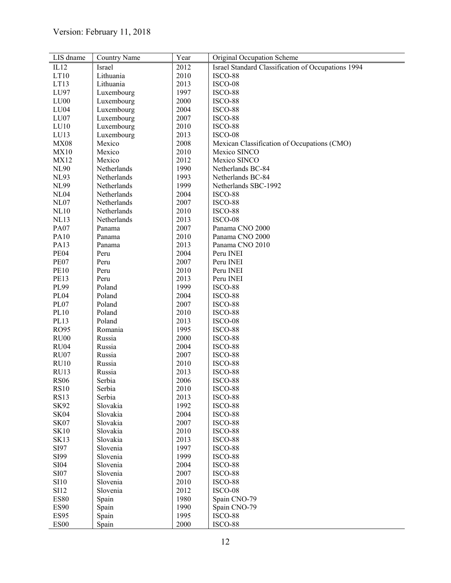| LIS dname                           | <b>Country Name</b> | Year | Original Occupation Scheme                         |
|-------------------------------------|---------------------|------|----------------------------------------------------|
| IL12                                | Israel              | 2012 | Israel Standard Classification of Occupations 1994 |
| LT10                                | Lithuania           | 2010 | ISCO-88                                            |
| LT13                                | Lithuania           | 2013 | ISCO-08                                            |
| LU97                                | Luxembourg          | 1997 | ISCO-88                                            |
| LU00                                | Luxembourg          | 2000 | ISCO-88                                            |
| LU <sub>04</sub>                    | Luxembourg          | 2004 | ISCO-88                                            |
| LU07                                | Luxembourg          | 2007 | ISCO-88                                            |
| LU10                                | Luxembourg          | 2010 | ISCO-88                                            |
| LU13                                | Luxembourg          | 2013 | ISCO-08                                            |
| <b>MX08</b>                         | Mexico              | 2008 | Mexican Classification of Occupations (CMO)        |
| MX10                                | Mexico              | 2010 | Mexico SINCO                                       |
| <b>MX12</b>                         | Mexico              | 2012 | Mexico SINCO                                       |
| <b>NL90</b>                         | Netherlands         | 1990 | Netherlands BC-84                                  |
| <b>NL93</b>                         | Netherlands         | 1993 | Netherlands BC-84                                  |
| <b>NL99</b>                         | Netherlands         | 1999 | Netherlands SBC-1992                               |
| <b>NL04</b>                         | Netherlands         | 2004 | ISCO-88                                            |
| <b>NL07</b>                         | Netherlands         | 2007 | ISCO-88                                            |
| <b>NL10</b>                         | Netherlands         | 2010 | ISCO-88                                            |
| <b>NL13</b>                         | Netherlands         | 2013 | ISCO-08                                            |
| PA07                                | Panama              | 2007 | Panama CNO 2000                                    |
| <b>PA10</b>                         | Panama              | 2010 | Panama CNO 2000                                    |
| PA13                                | Panama              | 2013 | Panama CNO 2010                                    |
| <b>PE04</b>                         | Peru                | 2004 | Peru INEI                                          |
| PE07                                | Peru                | 2007 | Peru INEI                                          |
| <b>PE10</b>                         | Peru                | 2010 | Peru INEI                                          |
| <b>PE13</b>                         | Peru                | 2013 | Peru INEI                                          |
| PL99                                | Poland              | 1999 | ISCO-88                                            |
| <b>PL04</b>                         | Poland              | 2004 | ISCO-88                                            |
| PL07                                | Poland              | 2007 | ISCO-88                                            |
| PL10                                | Poland              | 2010 | ISCO-88                                            |
| PL13                                | Poland              | 2013 | ISCO-08                                            |
| <b>RO95</b>                         | Romania             | 1995 | ISCO-88                                            |
| <b>RU00</b>                         | Russia              | 2000 | ISCO-88                                            |
| RU <sub>04</sub>                    | Russia              | 2004 | ISCO-88                                            |
| RU07                                | Russia              | 2007 | ISCO-88                                            |
| <b>RU10</b>                         | Russia              | 2010 | ISCO-88                                            |
| RU13                                | Russia              | 2013 | ISCO-88                                            |
| <b>RS06</b>                         | Serbia              | 2006 | ISCO-88                                            |
| <b>RS10</b>                         | Serbia              | 2010 | ISCO-88                                            |
| <b>RS13</b>                         | Serbia              | 2013 | ISCO-88                                            |
| <b>SK92</b>                         | Slovakia            | 1992 | ISCO-88                                            |
| SK04                                | Slovakia            | 2004 | ISCO-88                                            |
| SK07                                | Slovakia            | 2007 | ISCO-88                                            |
| <b>SK10</b>                         | Slovakia            | 2010 | ISCO-88                                            |
| <b>SK13</b>                         | Slovakia            | 2013 | ISCO-88                                            |
| SI97                                | Slovenia            | 1997 | ISCO-88                                            |
| SI99                                | Slovenia            | 1999 | ISCO-88                                            |
| <b>SI04</b>                         | Slovenia            | 2004 | ISCO-88                                            |
| SI07                                | Slovenia            | 2007 | ISCO-88                                            |
| SI10                                | Slovenia            | 2010 | ISCO-88                                            |
| <b>SI12</b>                         | Slovenia            | 2012 | ISCO-08                                            |
| <b>ES80</b>                         | Spain               | 1980 | Spain CNO-79                                       |
| <b>ES90</b>                         | Spain               | 1990 | Spain CNO-79                                       |
| <b>ES95</b>                         | Spain               | 1995 | ISCO-88                                            |
| $\mathop{\hbox{\rm ESO}}\nolimits0$ | Spain               | 2000 | ISCO-88                                            |
|                                     |                     |      |                                                    |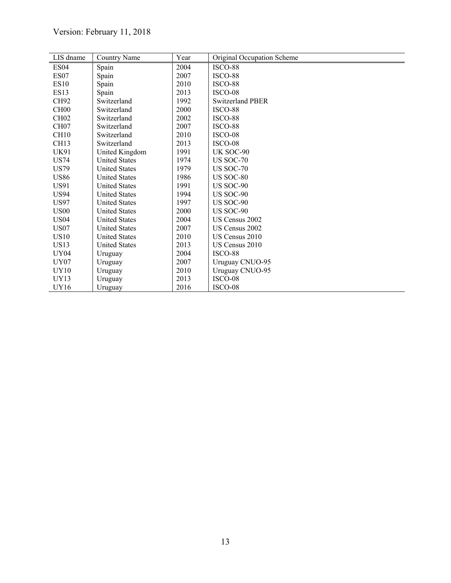| LIS dname        | Country Name         | Year | Original Occupation Scheme |
|------------------|----------------------|------|----------------------------|
| ES <sub>04</sub> | Spain                | 2004 | ISCO-88                    |
| ES <sub>07</sub> | Spain                | 2007 | ISCO-88                    |
| <b>ES10</b>      | Spain                | 2010 | ISCO-88                    |
| ES13             | Spain                | 2013 | ISCO-08                    |
| CH <sub>92</sub> | Switzerland          | 1992 | Switzerland PBER           |
| CH <sub>00</sub> | Switzerland          | 2000 | ISCO-88                    |
| CH02             | Switzerland          | 2002 | ISCO-88                    |
| CH <sub>07</sub> | Switzerland          | 2007 | ISCO-88                    |
| CH <sub>10</sub> | Switzerland          | 2010 | ISCO-08                    |
| CH <sub>13</sub> | Switzerland          | 2013 | ISCO-08                    |
| UK91             | United Kingdom       | 1991 | UK SOC-90                  |
| <b>US74</b>      | <b>United States</b> | 1974 | <b>US SOC-70</b>           |
| <b>US79</b>      | <b>United States</b> | 1979 | <b>US SOC-70</b>           |
| <b>US86</b>      | <b>United States</b> | 1986 | <b>US SOC-80</b>           |
| US91             | <b>United States</b> | 1991 | US SOC-90                  |
| <b>US94</b>      | <b>United States</b> | 1994 | US SOC-90                  |
| <b>US97</b>      | <b>United States</b> | 1997 | <b>US SOC-90</b>           |
| <b>US00</b>      | <b>United States</b> | 2000 | <b>US SOC-90</b>           |
| <b>US04</b>      | <b>United States</b> | 2004 | US Census 2002             |
| US <sub>07</sub> | <b>United States</b> | 2007 | US Census 2002             |
| <b>US10</b>      | <b>United States</b> | 2010 | US Census 2010             |
| <b>US13</b>      | <b>United States</b> | 2013 | US Census 2010             |
| UY04             | Uruguay              | 2004 | ISCO-88                    |
| <b>UY07</b>      | Uruguay              | 2007 | Uruguay CNUO-95            |
| UY10             | Uruguay              | 2010 | Uruguay CNUO-95            |
| UY13             | Uruguay              | 2013 | ISCO-08                    |
| UY16             | Uruguay              | 2016 | ISCO-08                    |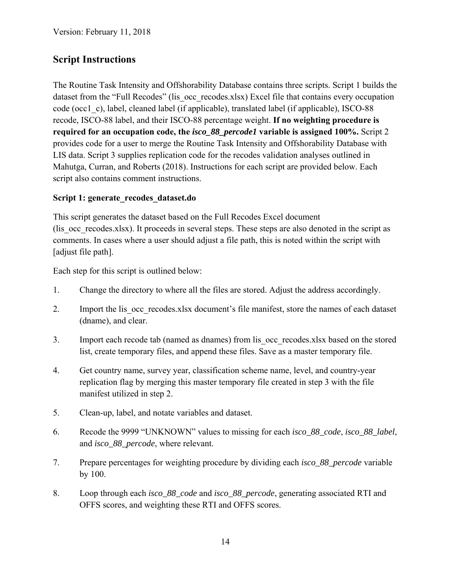## **Script Instructions**

The Routine Task Intensity and Offshorability Database contains three scripts. Script 1 builds the dataset from the "Full Recodes" (lis occ recodes.xlsx) Excel file that contains every occupation code (occ1\_c), label, cleaned label (if applicable), translated label (if applicable), ISCO-88 recode, ISCO-88 label, and their ISCO-88 percentage weight. **If no weighting procedure is required for an occupation code, the** *isco\_88\_percode1* **variable is assigned 100%.** Script 2 provides code for a user to merge the Routine Task Intensity and Offshorability Database with LIS data. Script 3 supplies replication code for the recodes validation analyses outlined in Mahutga, Curran, and Roberts (2018). Instructions for each script are provided below. Each script also contains comment instructions.

#### Script 1: generate recodes dataset.do

This script generates the dataset based on the Full Recodes Excel document (lis occ recodes.xlsx). It proceeds in several steps. These steps are also denoted in the script as comments. In cases where a user should adjust a file path, this is noted within the script with [adjust file path].

Each step for this script is outlined below:

- 1. Change the directory to where all the files are stored. Adjust the address accordingly.
- 2. Import the lis occ recodes.xlsx document's file manifest, store the names of each dataset (dname), and clear.
- 3. Import each recode tab (named as dnames) from lis\_occ\_recodes.xlsx based on the stored list, create temporary files, and append these files. Save as a master temporary file.
- 4. Get country name, survey year, classification scheme name, level, and country-year replication flag by merging this master temporary file created in step 3 with the file manifest utilized in step 2.
- 5. Clean-up, label, and notate variables and dataset.
- 6. Recode the 9999 "UNKNOWN" values to missing for each *isco\_88\_code*, *isco\_88\_label*, and *isco\_88\_percode*, where relevant.
- 7. Prepare percentages for weighting procedure by dividing each *isco\_88\_percode* variable by 100.
- 8. Loop through each *isco\_88\_code* and *isco\_88\_percode*, generating associated RTI and OFFS scores, and weighting these RTI and OFFS scores.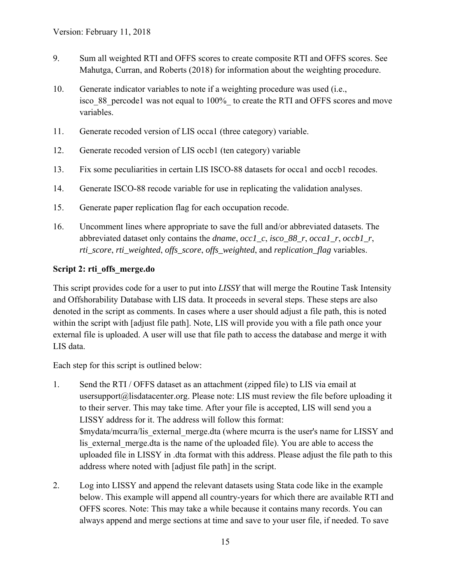- 9. Sum all weighted RTI and OFFS scores to create composite RTI and OFFS scores. See Mahutga, Curran, and Roberts (2018) for information about the weighting procedure.
- 10. Generate indicator variables to note if a weighting procedure was used (i.e., isco 88 percode1 was not equal to 100% to create the RTI and OFFS scores and move variables.
- 11. Generate recoded version of LIS occa1 (three category) variable.
- 12. Generate recoded version of LIS occb1 (ten category) variable
- 13. Fix some peculiarities in certain LIS ISCO-88 datasets for occa1 and occb1 recodes.
- 14. Generate ISCO-88 recode variable for use in replicating the validation analyses.
- 15. Generate paper replication flag for each occupation recode.
- 16. Uncomment lines where appropriate to save the full and/or abbreviated datasets. The abbreviated dataset only contains the *dname*, *occ1\_c*, *isco\_88\_r*, *occa1\_r*, *occb1\_r*, *rti\_score*, *rti\_weighted*, *offs\_score*, *offs\_weighted*, and *replication\_flag* variables.

#### **Script 2: rti\_offs\_merge.do**

This script provides code for a user to put into *LISSY* that will merge the Routine Task Intensity and Offshorability Database with LIS data. It proceeds in several steps. These steps are also denoted in the script as comments. In cases where a user should adjust a file path, this is noted within the script with [adjust file path]. Note, LIS will provide you with a file path once your external file is uploaded. A user will use that file path to access the database and merge it with LIS data.

Each step for this script is outlined below:

- 1. Send the RTI / OFFS dataset as an attachment (zipped file) to LIS via email at usersupport@lisdatacenter.org. Please note: LIS must review the file before uploading it to their server. This may take time. After your file is accepted, LIS will send you a LISSY address for it. The address will follow this format: \$mydata/mcurra/lis\_external\_merge.dta (where mcurra is the user's name for LISSY and lis external merge.dta is the name of the uploaded file). You are able to access the uploaded file in LISSY in .dta format with this address. Please adjust the file path to this address where noted with [adjust file path] in the script.
- 2. Log into LISSY and append the relevant datasets using Stata code like in the example below. This example will append all country-years for which there are available RTI and OFFS scores. Note: This may take a while because it contains many records. You can always append and merge sections at time and save to your user file, if needed. To save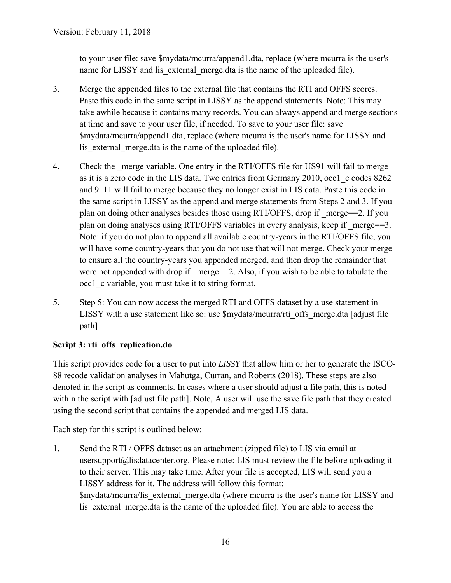to your user file: save \$mydata/mcurra/append1.dta, replace (where mcurra is the user's name for LISSY and lis external merge.dta is the name of the uploaded file).

- 3. Merge the appended files to the external file that contains the RTI and OFFS scores. Paste this code in the same script in LISSY as the append statements. Note: This may take awhile because it contains many records. You can always append and merge sections at time and save to your user file, if needed. To save to your user file: save \$mydata/mcurra/append1.dta, replace (where mcurra is the user's name for LISSY and lis external merge.dta is the name of the uploaded file).
- 4. Check the merge variable. One entry in the RTI/OFFS file for US91 will fail to merge as it is a zero code in the LIS data. Two entries from Germany 2010, occ1\_c codes 8262 and 9111 will fail to merge because they no longer exist in LIS data. Paste this code in the same script in LISSY as the append and merge statements from Steps 2 and 3. If you plan on doing other analyses besides those using RTI/OFFS, drop if  $\omega$  merge==2. If you plan on doing analyses using RTI/OFFS variables in every analysis, keep if merge==3. Note: if you do not plan to append all available country-years in the RTI/OFFS file, you will have some country-years that you do not use that will not merge. Check your merge to ensure all the country-years you appended merged, and then drop the remainder that were not appended with drop if  $merge==2$ . Also, if you wish to be able to tabulate the occ1\_c variable, you must take it to string format.
- 5. Step 5: You can now access the merged RTI and OFFS dataset by a use statement in LISSY with a use statement like so: use \$mydata/mcurra/rti\_offs\_merge.dta [adjust file path]

#### **Script 3: rti\_offs\_replication.do**

This script provides code for a user to put into *LISSY* that allow him or her to generate the ISCO-88 recode validation analyses in Mahutga, Curran, and Roberts (2018). These steps are also denoted in the script as comments. In cases where a user should adjust a file path, this is noted within the script with [adjust file path]. Note, A user will use the save file path that they created using the second script that contains the appended and merged LIS data.

Each step for this script is outlined below:

1. Send the RTI / OFFS dataset as an attachment (zipped file) to LIS via email at usersupport@lisdatacenter.org. Please note: LIS must review the file before uploading it to their server. This may take time. After your file is accepted, LIS will send you a LISSY address for it. The address will follow this format: \$mydata/mcurra/lis\_external\_merge.dta (where mcurra is the user's name for LISSY and lis external merge.dta is the name of the uploaded file). You are able to access the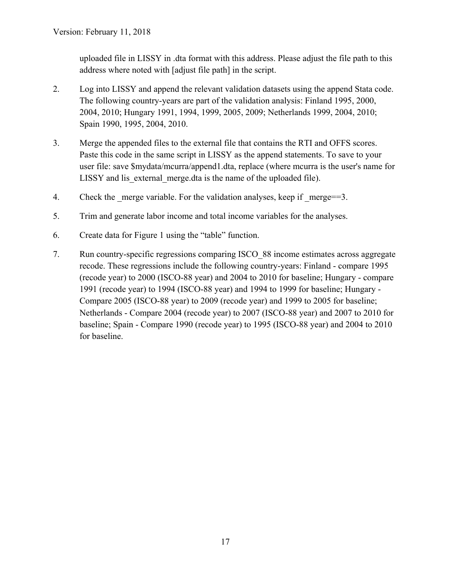uploaded file in LISSY in .dta format with this address. Please adjust the file path to this address where noted with [adjust file path] in the script.

- 2. Log into LISSY and append the relevant validation datasets using the append Stata code. The following country-years are part of the validation analysis: Finland 1995, 2000, 2004, 2010; Hungary 1991, 1994, 1999, 2005, 2009; Netherlands 1999, 2004, 2010; Spain 1990, 1995, 2004, 2010.
- 3. Merge the appended files to the external file that contains the RTI and OFFS scores. Paste this code in the same script in LISSY as the append statements. To save to your user file: save \$mydata/mcurra/append1.dta, replace (where mcurra is the user's name for LISSY and lis external merge.dta is the name of the uploaded file).
- 4. Check the merge variable. For the validation analyses, keep if merge= $=3$ .
- 5. Trim and generate labor income and total income variables for the analyses.
- 6. Create data for Figure 1 using the "table" function.
- 7. Run country-specific regressions comparing ISCO\_88 income estimates across aggregate recode. These regressions include the following country-years: Finland - compare 1995 (recode year) to 2000 (ISCO-88 year) and 2004 to 2010 for baseline; Hungary - compare 1991 (recode year) to 1994 (ISCO-88 year) and 1994 to 1999 for baseline; Hungary - Compare 2005 (ISCO-88 year) to 2009 (recode year) and 1999 to 2005 for baseline; Netherlands - Compare 2004 (recode year) to 2007 (ISCO-88 year) and 2007 to 2010 for baseline; Spain - Compare 1990 (recode year) to 1995 (ISCO-88 year) and 2004 to 2010 for baseline.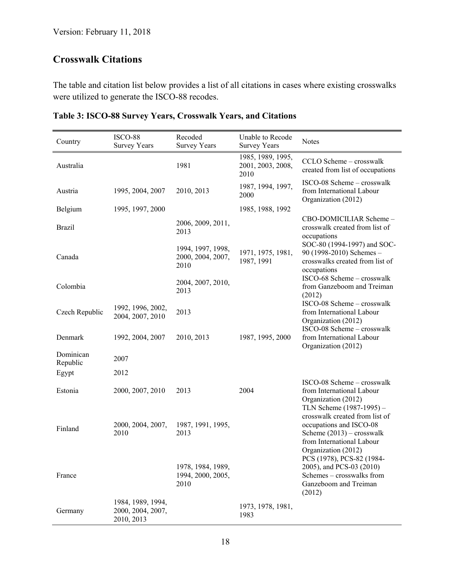## **Crosswalk Citations**

The table and citation list below provides a list of all citations in cases where existing crosswalks were utilized to generate the ISCO-88 recodes.

| Country               | ISCO-88<br><b>Survey Years</b>                       | Recoded<br><b>Survey Years</b>                 | Unable to Recode<br><b>Survey Years</b>        | <b>Notes</b>                                                                                                                                 |
|-----------------------|------------------------------------------------------|------------------------------------------------|------------------------------------------------|----------------------------------------------------------------------------------------------------------------------------------------------|
| Australia             |                                                      | 1981                                           | 1985, 1989, 1995,<br>2001, 2003, 2008,<br>2010 | CCLO Scheme - crosswalk<br>created from list of occupations                                                                                  |
| Austria               | 1995, 2004, 2007                                     | 2010, 2013                                     | 1987, 1994, 1997,<br>2000                      | ISCO-08 Scheme - crosswalk<br>from International Labour<br>Organization (2012)                                                               |
| Belgium               | 1995, 1997, 2000                                     |                                                | 1985, 1988, 1992                               |                                                                                                                                              |
| <b>Brazil</b>         |                                                      | 2006, 2009, 2011,<br>2013                      |                                                | CBO-DOMICILIAR Scheme-<br>crosswalk created from list of<br>occupations                                                                      |
| Canada                |                                                      | 1994, 1997, 1998,<br>2000, 2004, 2007,<br>2010 | 1971, 1975, 1981,<br>1987, 1991                | SOC-80 (1994-1997) and SOC-<br>90 (1998-2010) Schemes -<br>crosswalks created from list of<br>occupations                                    |
| Colombia              |                                                      | 2004, 2007, 2010,<br>2013                      |                                                | ISCO-68 Scheme - crosswalk<br>from Ganzeboom and Treiman<br>(2012)                                                                           |
| Czech Republic        | 1992, 1996, 2002,<br>2004, 2007, 2010                | 2013                                           |                                                | ISCO-08 Scheme - crosswalk<br>from International Labour<br>Organization (2012)<br>ISCO-08 Scheme - crosswalk                                 |
| Denmark               | 1992, 2004, 2007                                     | 2010, 2013                                     | 1987, 1995, 2000                               | from International Labour<br>Organization (2012)                                                                                             |
| Dominican<br>Republic | 2007                                                 |                                                |                                                |                                                                                                                                              |
| Egypt                 | 2012                                                 |                                                |                                                |                                                                                                                                              |
| Estonia               | 2000, 2007, 2010                                     | 2013                                           | 2004                                           | ISCO-08 Scheme – crosswalk<br>from International Labour<br>Organization (2012)<br>TLN Scheme (1987-1995) -                                   |
| Finland               | 2000, 2004, 2007,<br>2010                            | 1987, 1991, 1995,<br>2013                      |                                                | crosswalk created from list of<br>occupations and ISCO-08<br>Scheme $(2013)$ – crosswalk<br>from International Labour<br>Organization (2012) |
| France                |                                                      | 1978, 1984, 1989,<br>1994, 2000, 2005,<br>2010 |                                                | PCS (1978), PCS-82 (1984-<br>2005), and PCS-03 (2010)<br>Schemes - crosswalks from<br>Ganzeboom and Treiman<br>(2012)                        |
| Germany               | 1984, 1989, 1994,<br>2000, 2004, 2007,<br>2010, 2013 |                                                | 1973, 1978, 1981,<br>1983                      |                                                                                                                                              |

#### **Table 3: ISCO-88 Survey Years, Crosswalk Years, and Citations**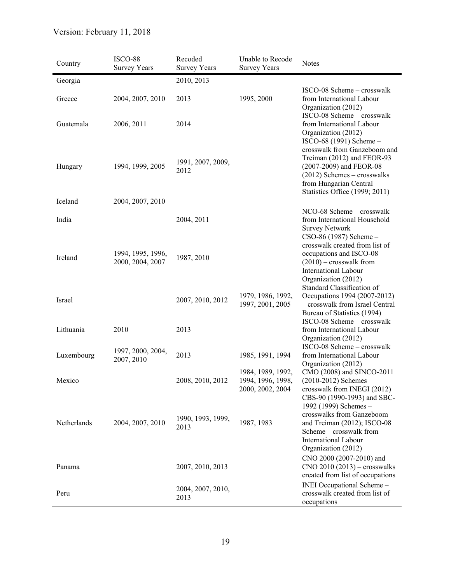| Country     | ISCO-88<br><b>Survey Years</b>        | Recoded<br><b>Survey Years</b> | Unable to Recode<br><b>Survey Years</b>                    | <b>Notes</b>                                                                                                                                                                       |
|-------------|---------------------------------------|--------------------------------|------------------------------------------------------------|------------------------------------------------------------------------------------------------------------------------------------------------------------------------------------|
| Georgia     |                                       | 2010, 2013                     |                                                            |                                                                                                                                                                                    |
| Greece      | 2004, 2007, 2010                      | 2013                           | 1995, 2000                                                 | ISCO-08 Scheme - crosswalk<br>from International Labour<br>Organization (2012)<br>ISCO-08 Scheme - crosswalk                                                                       |
| Guatemala   | 2006, 2011                            | 2014                           |                                                            | from International Labour<br>Organization (2012)<br>ISCO-68 (1991) Scheme -                                                                                                        |
| Hungary     | 1994, 1999, 2005                      | 1991, 2007, 2009,<br>2012      |                                                            | crosswalk from Ganzeboom and<br>Treiman (2012) and FEOR-93<br>(2007-2009) and FEOR-08<br>$(2012)$ Schemes – crosswalks<br>from Hungarian Central<br>Statistics Office (1999; 2011) |
| Iceland     | 2004, 2007, 2010                      |                                |                                                            |                                                                                                                                                                                    |
| India       |                                       | 2004, 2011                     |                                                            | NCO-68 Scheme - crosswalk<br>from International Household<br><b>Survey Network</b><br>CSO-86 (1987) Scheme -                                                                       |
| Ireland     | 1994, 1995, 1996,<br>2000, 2004, 2007 | 1987, 2010                     |                                                            | crosswalk created from list of<br>occupations and ISCO-08<br>$(2010)$ – crosswalk from<br><b>International Labour</b><br>Organization (2012)                                       |
| Israel      |                                       | 2007, 2010, 2012               | 1979, 1986, 1992,<br>1997, 2001, 2005                      | Standard Classification of<br>Occupations 1994 (2007-2012)<br>- crosswalk from Israel Central<br>Bureau of Statistics (1994)<br>ISCO-08 Scheme - crosswalk                         |
| Lithuania   | 2010                                  | 2013                           |                                                            | from International Labour<br>Organization (2012)                                                                                                                                   |
| Luxembourg  | 1997, 2000, 2004,<br>2007, 2010       | 2013                           | 1985, 1991, 1994                                           | ISCO-08 Scheme - crosswalk<br>from International Labour<br>Organization (2012)                                                                                                     |
| Mexico      |                                       | 2008, 2010, 2012               | 1984, 1989, 1992,<br>1994, 1996, 1998,<br>2000, 2002, 2004 | CMO (2008) and SINCO-2011<br>$(2010-2012)$ Schemes -<br>crosswalk from INEGI (2012)<br>CBS-90 (1990-1993) and SBC-<br>1992 (1999) Schemes -                                        |
| Netherlands | 2004, 2007, 2010                      | 1990, 1993, 1999,<br>2013      | 1987, 1983                                                 | crosswalks from Ganzeboom<br>and Treiman (2012); ISCO-08<br>Scheme – crosswalk from<br>International Labour<br>Organization (2012)                                                 |
| Panama      |                                       | 2007, 2010, 2013               |                                                            | CNO 2000 (2007-2010) and<br>$CNO 2010 (2013) - crosswalks$<br>created from list of occupations                                                                                     |
| Peru        |                                       | 2004, 2007, 2010,<br>2013      |                                                            | INEI Occupational Scheme -<br>crosswalk created from list of<br>occupations                                                                                                        |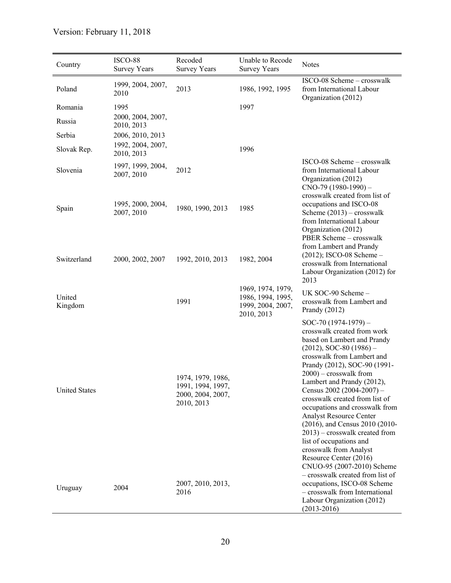| Country              | ISCO-88<br><b>Survey Years</b>  | Recoded<br><b>Survey Years</b>                                            | Unable to Recode<br><b>Survey Years</b>                                   | <b>Notes</b>                                                                                                                                                                                                                                                                                                                                                                                                                                                                                                                                                                                       |
|----------------------|---------------------------------|---------------------------------------------------------------------------|---------------------------------------------------------------------------|----------------------------------------------------------------------------------------------------------------------------------------------------------------------------------------------------------------------------------------------------------------------------------------------------------------------------------------------------------------------------------------------------------------------------------------------------------------------------------------------------------------------------------------------------------------------------------------------------|
| Poland               | 1999, 2004, 2007,<br>2010       | 2013                                                                      | 1986, 1992, 1995                                                          | ISCO-08 Scheme - crosswalk<br>from International Labour<br>Organization (2012)                                                                                                                                                                                                                                                                                                                                                                                                                                                                                                                     |
| Romania              | 1995                            |                                                                           | 1997                                                                      |                                                                                                                                                                                                                                                                                                                                                                                                                                                                                                                                                                                                    |
| Russia               | 2000, 2004, 2007,<br>2010, 2013 |                                                                           |                                                                           |                                                                                                                                                                                                                                                                                                                                                                                                                                                                                                                                                                                                    |
| Serbia               | 2006, 2010, 2013                |                                                                           |                                                                           |                                                                                                                                                                                                                                                                                                                                                                                                                                                                                                                                                                                                    |
| Slovak Rep.          | 1992, 2004, 2007,<br>2010, 2013 |                                                                           | 1996                                                                      |                                                                                                                                                                                                                                                                                                                                                                                                                                                                                                                                                                                                    |
| Slovenia             | 1997, 1999, 2004,<br>2007, 2010 | 2012                                                                      |                                                                           | ISCO-08 Scheme – crosswalk<br>from International Labour<br>Organization (2012)<br>$CNO-79$ (1980-1990) -                                                                                                                                                                                                                                                                                                                                                                                                                                                                                           |
| Spain                | 1995, 2000, 2004,<br>2007, 2010 | 1980, 1990, 2013                                                          | 1985                                                                      | crosswalk created from list of<br>occupations and ISCO-08<br>Scheme $(2013)$ – crosswalk<br>from International Labour<br>Organization (2012)<br>PBER Scheme - crosswalk<br>from Lambert and Prandy                                                                                                                                                                                                                                                                                                                                                                                                 |
| Switzerland          | 2000, 2002, 2007                | 1992, 2010, 2013                                                          | 1982, 2004                                                                | $(2012)$ ; ISCO-08 Scheme -<br>crosswalk from International<br>Labour Organization (2012) for<br>2013                                                                                                                                                                                                                                                                                                                                                                                                                                                                                              |
| United<br>Kingdom    |                                 | 1991                                                                      | 1969, 1974, 1979,<br>1986, 1994, 1995,<br>1999, 2004, 2007,<br>2010, 2013 | UK SOC-90 Scheme-<br>crosswalk from Lambert and<br>Prandy $(2012)$                                                                                                                                                                                                                                                                                                                                                                                                                                                                                                                                 |
| <b>United States</b> |                                 | 1974, 1979, 1986,<br>1991, 1994, 1997,<br>2000, 2004, 2007,<br>2010, 2013 |                                                                           | SOC-70 $(1974-1979)$ -<br>crosswalk created from work<br>based on Lambert and Prandy<br>$(2012)$ , SOC-80 $(1986)$ –<br>crosswalk from Lambert and<br>Prandy (2012), SOC-90 (1991-<br>$2000$ ) – crosswalk from<br>Lambert and Prandy (2012),<br>Census $2002(2004-2007)$ -<br>crosswalk created from list of<br>occupations and crosswalk from<br>Analyst Resource Center<br>(2016), and Census 2010 (2010-<br>$2013$ ) – crosswalk created from<br>list of occupations and<br>crosswalk from Analyst<br>Resource Center (2016)<br>CNUO-95 (2007-2010) Scheme<br>- crosswalk created from list of |
| Uruguay              | 2004                            | 2007, 2010, 2013,<br>2016                                                 |                                                                           | occupations, ISCO-08 Scheme<br>- crosswalk from International<br>Labour Organization (2012)<br>$(2013 - 2016)$                                                                                                                                                                                                                                                                                                                                                                                                                                                                                     |